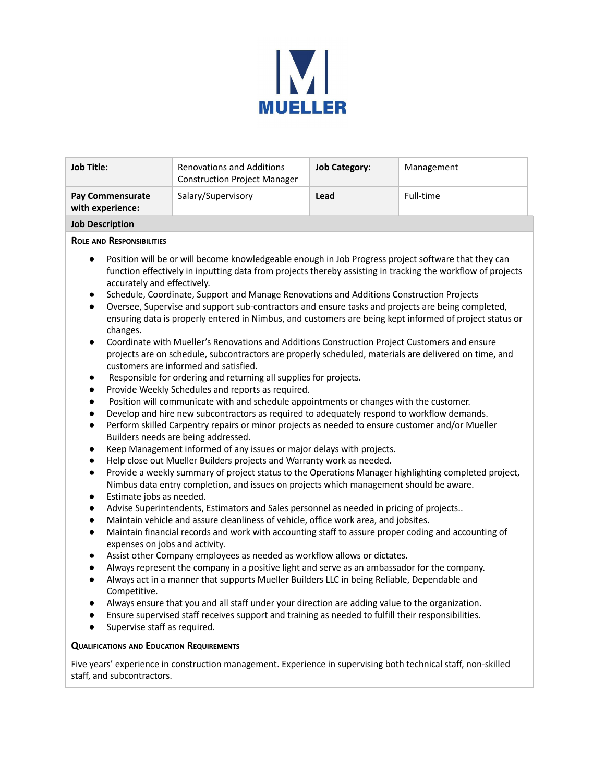

| <b>Job Title:</b>                    | <b>Renovations and Additions</b><br><b>Construction Project Manager</b> | <b>Job Category:</b> | Management |
|--------------------------------------|-------------------------------------------------------------------------|----------------------|------------|
| Pay Commensurate<br>with experience: | Salary/Supervisory                                                      | Lead                 | Full-time  |
| <b>Job Description</b>               |                                                                         |                      |            |

## **ROLE AND RESPONSIBILITIES**

- Position will be or will become knowledgeable enough in Job Progress project software that they can function effectively in inputting data from projects thereby assisting in tracking the workflow of projects accurately and effectively.
- Schedule, Coordinate, Support and Manage Renovations and Additions Construction Projects
- Oversee, Supervise and support sub-contractors and ensure tasks and projects are being completed, ensuring data is properly entered in Nimbus, and customers are being kept informed of project status or changes.
- Coordinate with Mueller's Renovations and Additions Construction Project Customers and ensure projects are on schedule, subcontractors are properly scheduled, materials are delivered on time, and customers are informed and satisfied.
- Responsible for ordering and returning all supplies for projects.
- Provide Weekly Schedules and reports as required.
- Position will communicate with and schedule appointments or changes with the customer.
- Develop and hire new subcontractors as required to adequately respond to workflow demands.
- Perform skilled Carpentry repairs or minor projects as needed to ensure customer and/or Mueller Builders needs are being addressed.
- Keep Management informed of any issues or major delays with projects.
- Help close out Mueller Builders projects and Warranty work as needed.
- Provide a weekly summary of project status to the Operations Manager highlighting completed project, Nimbus data entry completion, and issues on projects which management should be aware.
- Estimate jobs as needed.
- Advise Superintendents, Estimators and Sales personnel as needed in pricing of projects..
- Maintain vehicle and assure cleanliness of vehicle, office work area, and jobsites.
- Maintain financial records and work with accounting staff to assure proper coding and accounting of expenses on jobs and activity.
- Assist other Company employees as needed as workflow allows or dictates.
- Always represent the company in a positive light and serve as an ambassador for the company.
- Always act in a manner that supports Mueller Builders LLC in being Reliable, Dependable and Competitive.
- Always ensure that you and all staff under your direction are adding value to the organization.
- Ensure supervised staff receives support and training as needed to fulfill their responsibilities.
- Supervise staff as required.

## **QUALIFICATIONS AND EDUCATION REQUIREMENTS**

Five years' experience in construction management. Experience in supervising both technical staff, non-skilled staff, and subcontractors.